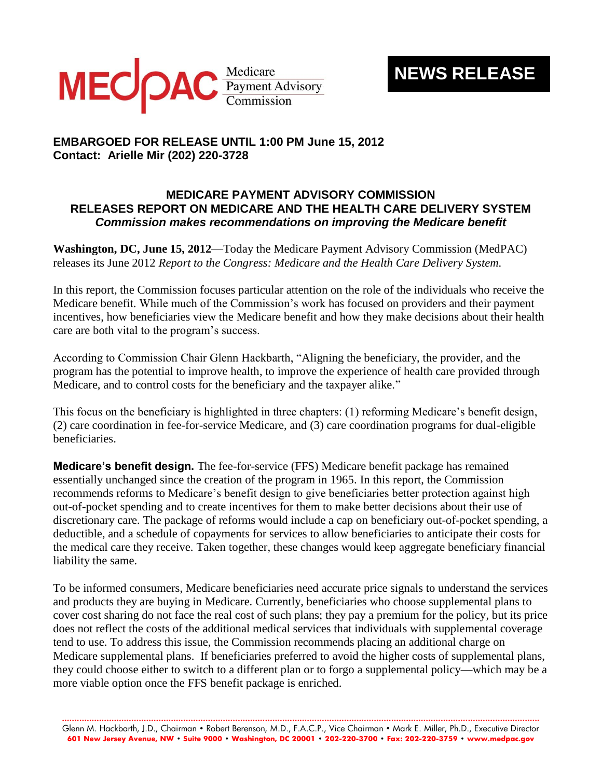

## **NEWS RELEASE**

## **EMBARGOED FOR RELEASE UNTIL 1:00 PM June 15, 2012 Contact: Arielle Mir (202) 220-3728**

## **MEDICARE PAYMENT ADVISORY COMMISSION RELEASES REPORT ON MEDICARE AND THE HEALTH CARE DELIVERY SYSTEM** *Commission makes recommendations on improving the Medicare benefit*

**Washington, DC, June 15, 2012**—Today the Medicare Payment Advisory Commission (MedPAC) releases its June 2012 *Report to the Congress: Medicare and the Health Care Delivery System.*

In this report, the Commission focuses particular attention on the role of the individuals who receive the Medicare benefit. While much of the Commission's work has focused on providers and their payment incentives, how beneficiaries view the Medicare benefit and how they make decisions about their health care are both vital to the program's success.

According to Commission Chair Glenn Hackbarth, "Aligning the beneficiary, the provider, and the program has the potential to improve health, to improve the experience of health care provided through Medicare, and to control costs for the beneficiary and the taxpayer alike."

This focus on the beneficiary is highlighted in three chapters: (1) reforming Medicare's benefit design, (2) care coordination in fee-for-service Medicare, and (3) care coordination programs for dual-eligible beneficiaries.

**Medicare's benefit design.** The fee-for-service (FFS) Medicare benefit package has remained essentially unchanged since the creation of the program in 1965. In this report, the Commission recommends reforms to Medicare's benefit design to give beneficiaries better protection against high out-of-pocket spending and to create incentives for them to make better decisions about their use of discretionary care. The package of reforms would include a cap on beneficiary out-of-pocket spending, a deductible, and a schedule of copayments for services to allow beneficiaries to anticipate their costs for the medical care they receive. Taken together, these changes would keep aggregate beneficiary financial liability the same.

To be informed consumers, Medicare beneficiaries need accurate price signals to understand the services and products they are buying in Medicare. Currently, beneficiaries who choose supplemental plans to cover cost sharing do not face the real cost of such plans; they pay a premium for the policy, but its price does not reflect the costs of the additional medical services that individuals with supplemental coverage tend to use. To address this issue, the Commission recommends placing an additional charge on Medicare supplemental plans. If beneficiaries preferred to avoid the higher costs of supplemental plans, they could choose either to switch to a different plan or to forgo a supplemental policy—which may be a more viable option once the FFS benefit package is enriched.